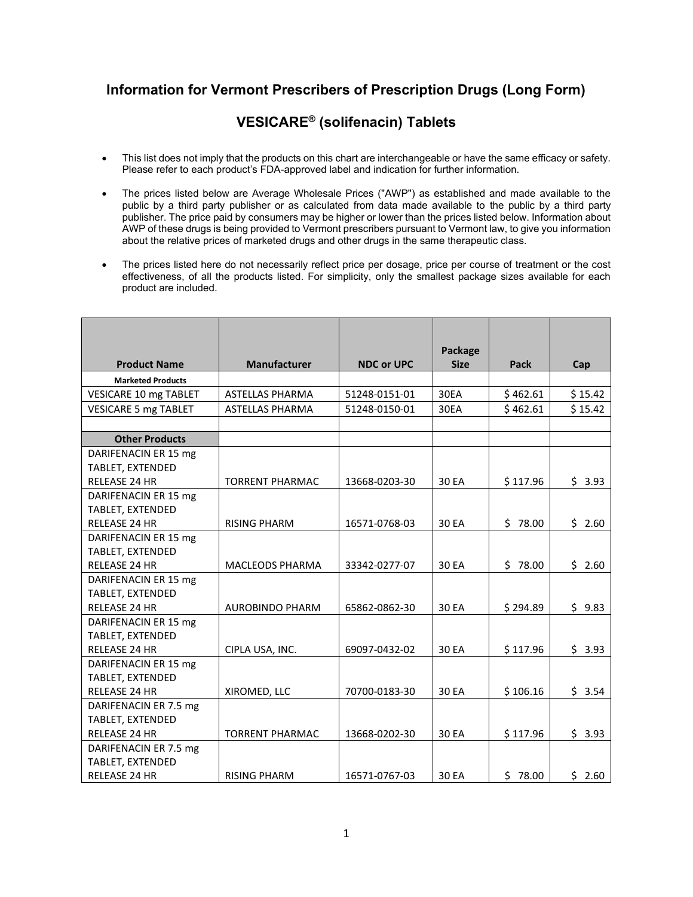## **Information for Vermont Prescribers of Prescription Drugs (Long Form)**

## **VESICARE® (solifenacin) Tablets**

- This list does not imply that the products on this chart are interchangeable or have the same efficacy or safety. Please refer to each product's FDA-approved label and indication for further information.
- The prices listed below are Average Wholesale Prices ("AWP") as established and made available to the public by a third party publisher or as calculated from data made available to the public by a third party publisher. The price paid by consumers may be higher or lower than the prices listed below. Information about AWP of these drugs is being provided to Vermont prescribers pursuant to Vermont law, to give you information about the relative prices of marketed drugs and other drugs in the same therapeutic class.
- The prices listed here do not necessarily reflect price per dosage, price per course of treatment or the cost effectiveness, of all the products listed. For simplicity, only the smallest package sizes available for each product are included.

| <b>Product Name</b>                      | <b>Manufacturer</b>    | <b>NDC or UPC</b> | Package<br><b>Size</b> | Pack     | Cap     |
|------------------------------------------|------------------------|-------------------|------------------------|----------|---------|
| <b>Marketed Products</b>                 |                        |                   |                        |          |         |
| VESICARE 10 mg TABLET                    | <b>ASTELLAS PHARMA</b> | 51248-0151-01     | 30EA                   | \$462.61 | \$15.42 |
| <b>VESICARE 5 mg TABLET</b>              | <b>ASTELLAS PHARMA</b> | 51248-0150-01     | 30EA                   | \$462.61 | \$15.42 |
|                                          |                        |                   |                        |          |         |
| <b>Other Products</b>                    |                        |                   |                        |          |         |
| DARIFENACIN ER 15 mg                     |                        |                   |                        |          |         |
| TABLET, EXTENDED                         |                        |                   |                        |          |         |
| RELEASE 24 HR                            | <b>TORRENT PHARMAC</b> | 13668-0203-30     | 30 EA                  | \$117.96 | \$3.93  |
| DARIFENACIN ER 15 mg                     |                        |                   |                        |          |         |
| TABLET, EXTENDED                         |                        |                   |                        |          |         |
| <b>RELEASE 24 HR</b>                     | <b>RISING PHARM</b>    | 16571-0768-03     | 30 EA                  | \$78.00  | \$2.60  |
| DARIFENACIN ER 15 mg                     |                        |                   |                        |          |         |
| TABLET, EXTENDED<br><b>RELEASE 24 HR</b> | <b>MACLEODS PHARMA</b> | 33342-0277-07     | 30 EA                  | \$78.00  | \$2.60  |
| DARIFENACIN ER 15 mg                     |                        |                   |                        |          |         |
| TABLET, EXTENDED                         |                        |                   |                        |          |         |
| RELEASE 24 HR                            | <b>AUROBINDO PHARM</b> | 65862-0862-30     | 30 EA                  | \$294.89 | \$9.83  |
| DARIFENACIN ER 15 mg                     |                        |                   |                        |          |         |
| TABLET, EXTENDED                         |                        |                   |                        |          |         |
| <b>RELEASE 24 HR</b>                     | CIPLA USA, INC.        | 69097-0432-02     | 30 EA                  | \$117.96 | \$3.93  |
| DARIFENACIN ER 15 mg                     |                        |                   |                        |          |         |
| TABLET, EXTENDED                         |                        |                   |                        |          |         |
| <b>RELEASE 24 HR</b>                     | XIROMED, LLC           | 70700-0183-30     | 30 EA                  | \$106.16 | \$3.54  |
| DARIFENACIN ER 7.5 mg                    |                        |                   |                        |          |         |
| TABLET, EXTENDED                         |                        |                   |                        |          |         |
| RELEASE 24 HR                            | <b>TORRENT PHARMAC</b> | 13668-0202-30     | 30 EA                  | \$117.96 | \$3.93  |
| DARIFENACIN ER 7.5 mg                    |                        |                   |                        |          |         |
| TABLET, EXTENDED                         |                        |                   |                        |          |         |
| <b>RELEASE 24 HR</b>                     | <b>RISING PHARM</b>    | 16571-0767-03     | 30 EA                  | \$78.00  | \$2.60  |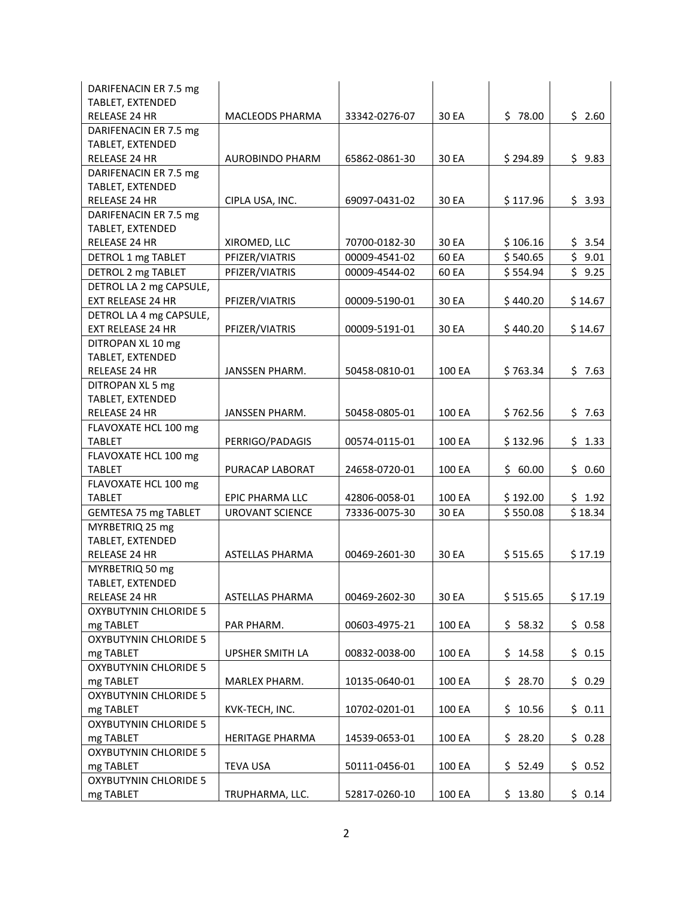| DARIFENACIN ER 7.5 mg        |                        |               |        |          |         |
|------------------------------|------------------------|---------------|--------|----------|---------|
| TABLET, EXTENDED             |                        |               |        |          |         |
| RELEASE 24 HR                | <b>MACLEODS PHARMA</b> | 33342-0276-07 | 30 EA  | \$78.00  | \$2.60  |
| DARIFENACIN ER 7.5 mg        |                        |               |        |          |         |
| TABLET, EXTENDED             |                        |               |        |          |         |
| RELEASE 24 HR                | <b>AUROBINDO PHARM</b> | 65862-0861-30 | 30 EA  | \$294.89 | \$9.83  |
| DARIFENACIN ER 7.5 mg        |                        |               |        |          |         |
| TABLET, EXTENDED             |                        |               |        |          |         |
| RELEASE 24 HR                | CIPLA USA, INC.        | 69097-0431-02 | 30 EA  | \$117.96 | \$3.93  |
| DARIFENACIN ER 7.5 mg        |                        |               |        |          |         |
| TABLET, EXTENDED             |                        |               |        |          |         |
| RELEASE 24 HR                | XIROMED, LLC           | 70700-0182-30 | 30 EA  | \$106.16 | \$3.54  |
| DETROL 1 mg TABLET           | PFIZER/VIATRIS         | 00009-4541-02 | 60 EA  | \$540.65 | \$9.01  |
| DETROL 2 mg TABLET           | PFIZER/VIATRIS         | 00009-4544-02 | 60 EA  | \$554.94 | \$9.25  |
| DETROL LA 2 mg CAPSULE,      |                        |               |        |          |         |
| EXT RELEASE 24 HR            | PFIZER/VIATRIS         | 00009-5190-01 | 30 EA  | \$440.20 | \$14.67 |
| DETROL LA 4 mg CAPSULE,      |                        |               |        |          |         |
| <b>EXT RELEASE 24 HR</b>     | PFIZER/VIATRIS         | 00009-5191-01 | 30 EA  | \$440.20 | \$14.67 |
| DITROPAN XL 10 mg            |                        |               |        |          |         |
| TABLET, EXTENDED             |                        |               |        |          |         |
| RELEASE 24 HR                | JANSSEN PHARM.         | 50458-0810-01 | 100 EA | \$763.34 | \$7.63  |
| DITROPAN XL 5 mg             |                        |               |        |          |         |
| TABLET, EXTENDED             |                        |               |        |          |         |
| RELEASE 24 HR                | JANSSEN PHARM.         | 50458-0805-01 | 100 EA | \$762.56 | \$7.63  |
| FLAVOXATE HCL 100 mg         |                        |               |        |          |         |
| <b>TABLET</b>                | PERRIGO/PADAGIS        | 00574-0115-01 | 100 EA | \$132.96 | \$1.33  |
| FLAVOXATE HCL 100 mg         |                        |               |        |          |         |
| <b>TABLET</b>                | PURACAP LABORAT        | 24658-0720-01 | 100 EA | \$60.00  | \$0.60  |
| FLAVOXATE HCL 100 mg         |                        |               |        |          |         |
| <b>TABLET</b>                | <b>EPIC PHARMA LLC</b> | 42806-0058-01 | 100 EA | \$192.00 | \$1.92  |
| <b>GEMTESA 75 mg TABLET</b>  | <b>UROVANT SCIENCE</b> | 73336-0075-30 | 30 EA  | \$550.08 | \$18.34 |
| MYRBETRIQ 25 mg              |                        |               |        |          |         |
| TABLET, EXTENDED             |                        |               |        |          |         |
| RELEASE 24 HR                | <b>ASTELLAS PHARMA</b> | 00469-2601-30 | 30 EA  | \$515.65 | \$17.19 |
| MYRBETRIQ 50 mg              |                        |               |        |          |         |
| TABLET, EXTENDED             |                        |               |        |          |         |
| RELEASE 24 HR                | ASTELLAS PHARMA        | 00469-2602-30 | 30 EA  | \$515.65 | \$17.19 |
| <b>OXYBUTYNIN CHLORIDE 5</b> |                        |               |        |          |         |
| mg TABLET                    | PAR PHARM.             | 00603-4975-21 | 100 EA | \$58.32  | \$0.58  |
| <b>OXYBUTYNIN CHLORIDE 5</b> |                        |               |        |          |         |
| mg TABLET                    | UPSHER SMITH LA        | 00832-0038-00 | 100 EA | \$14.58  | \$0.15  |
| <b>OXYBUTYNIN CHLORIDE 5</b> |                        |               |        |          |         |
| mg TABLET                    | MARLEX PHARM.          | 10135-0640-01 | 100 EA | \$28.70  | \$0.29  |
| <b>OXYBUTYNIN CHLORIDE 5</b> |                        |               |        |          |         |
| mg TABLET                    | KVK-TECH, INC.         | 10702-0201-01 | 100 EA | \$10.56  | \$0.11  |
| <b>OXYBUTYNIN CHLORIDE 5</b> |                        |               |        |          |         |
| mg TABLET                    | <b>HERITAGE PHARMA</b> | 14539-0653-01 | 100 EA | \$28.20  | \$0.28  |
| <b>OXYBUTYNIN CHLORIDE 5</b> |                        |               |        |          |         |
| mg TABLET                    | TEVA USA               | 50111-0456-01 | 100 EA | \$52.49  | \$0.52  |
| <b>OXYBUTYNIN CHLORIDE 5</b> |                        |               |        |          |         |
| mg TABLET                    | TRUPHARMA, LLC.        | 52817-0260-10 | 100 EA | \$13.80  | \$0.14  |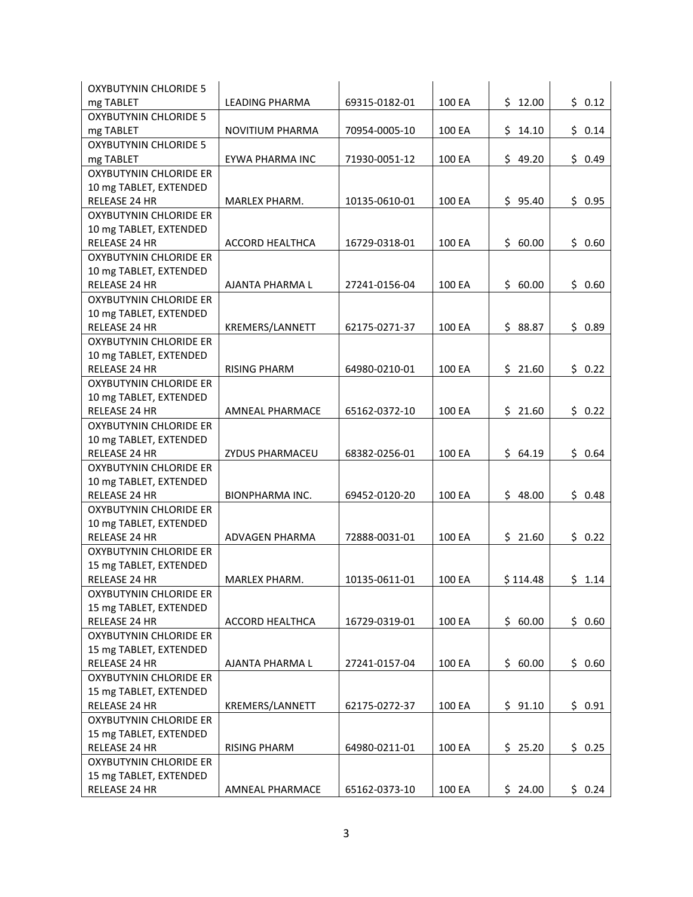| <b>OXYBUTYNIN CHLORIDE 5</b>            |                        |               |        |          |        |
|-----------------------------------------|------------------------|---------------|--------|----------|--------|
| mg TABLET                               | LEADING PHARMA         | 69315-0182-01 | 100 EA | \$12.00  | \$0.12 |
| <b>OXYBUTYNIN CHLORIDE 5</b>            |                        |               |        |          |        |
| mg TABLET                               | NOVITIUM PHARMA        | 70954-0005-10 | 100 EA | \$14.10  | \$0.14 |
| <b>OXYBUTYNIN CHLORIDE 5</b>            |                        |               |        |          |        |
| mg TABLET                               | EYWA PHARMA INC        | 71930-0051-12 | 100 EA | \$49.20  | \$0.49 |
| <b>OXYBUTYNIN CHLORIDE ER</b>           |                        |               |        |          |        |
| 10 mg TABLET, EXTENDED                  |                        |               |        |          |        |
| <b>RELEASE 24 HR</b>                    | MARLEX PHARM.          | 10135-0610-01 | 100 EA | \$95.40  | \$0.95 |
| <b>OXYBUTYNIN CHLORIDE ER</b>           |                        |               |        |          |        |
| 10 mg TABLET, EXTENDED                  |                        |               |        |          |        |
| RELEASE 24 HR                           | <b>ACCORD HEALTHCA</b> | 16729-0318-01 | 100 EA | \$60.00  | \$0.60 |
| <b>OXYBUTYNIN CHLORIDE ER</b>           |                        |               |        |          |        |
| 10 mg TABLET, EXTENDED                  |                        |               |        |          |        |
| RELEASE 24 HR                           | AJANTA PHARMA L        | 27241-0156-04 | 100 EA | \$60.00  | \$0.60 |
| <b>OXYBUTYNIN CHLORIDE ER</b>           |                        |               |        |          |        |
| 10 mg TABLET, EXTENDED                  |                        |               |        |          |        |
| RELEASE 24 HR                           | KREMERS/LANNETT        | 62175-0271-37 | 100 EA | \$88.87  | \$0.89 |
| <b>OXYBUTYNIN CHLORIDE ER</b>           |                        |               |        |          |        |
| 10 mg TABLET, EXTENDED                  |                        |               |        |          |        |
| <b>RELEASE 24 HR</b>                    | <b>RISING PHARM</b>    | 64980-0210-01 | 100 EA | \$21.60  | \$0.22 |
| <b>OXYBUTYNIN CHLORIDE ER</b>           |                        |               |        |          |        |
| 10 mg TABLET, EXTENDED                  |                        |               |        |          |        |
| RELEASE 24 HR                           | AMNEAL PHARMACE        | 65162-0372-10 | 100 EA | \$21.60  | \$0.22 |
| <b>OXYBUTYNIN CHLORIDE ER</b>           |                        |               |        |          |        |
| 10 mg TABLET, EXTENDED                  |                        |               |        |          |        |
| RELEASE 24 HR                           | ZYDUS PHARMACEU        | 68382-0256-01 | 100 EA | \$64.19  | \$0.64 |
| OXYBUTYNIN CHLORIDE ER                  |                        |               |        |          |        |
| 10 mg TABLET, EXTENDED                  |                        |               |        |          |        |
| RELEASE 24 HR                           | <b>BIONPHARMA INC.</b> | 69452-0120-20 | 100 EA | \$48.00  | \$0.48 |
| <b>OXYBUTYNIN CHLORIDE ER</b>           |                        |               |        |          |        |
| 10 mg TABLET, EXTENDED                  |                        |               |        |          |        |
| <b>RELEASE 24 HR</b>                    | ADVAGEN PHARMA         | 72888-0031-01 | 100 EA | \$21.60  | \$0.22 |
| <b>OXYBUTYNIN CHLORIDE ER</b>           |                        |               |        |          |        |
| 15 mg TABLET, EXTENDED                  |                        |               |        |          |        |
| RELEASE 24 HR                           | MARLEX PHARM.          | 10135-0611-01 | 100 EA | \$114.48 | \$1.14 |
| <b>OXYBUTYNIN CHLORIDE ER</b>           |                        |               |        |          |        |
| 15 mg TABLET, EXTENDED                  |                        |               |        |          |        |
| RELEASE 24 HR                           | ACCORD HEALTHCA        | 16729-0319-01 | 100 EA | \$60.00  | \$0.60 |
| <b>OXYBUTYNIN CHLORIDE ER</b>           |                        |               |        |          |        |
| 15 mg TABLET, EXTENDED                  |                        |               |        |          |        |
| RELEASE 24 HR                           | AJANTA PHARMA L        | 27241-0157-04 | 100 EA | \$60.00  | \$0.60 |
| <b>OXYBUTYNIN CHLORIDE ER</b>           |                        |               |        |          |        |
|                                         |                        |               |        |          |        |
| 15 mg TABLET, EXTENDED                  |                        |               |        |          | \$0.91 |
| RELEASE 24 HR                           | KREMERS/LANNETT        | 62175-0272-37 | 100 EA | \$91.10  |        |
| OXYBUTYNIN CHLORIDE ER                  |                        |               |        |          |        |
| 15 mg TABLET, EXTENDED                  |                        |               |        |          |        |
| RELEASE 24 HR                           | <b>RISING PHARM</b>    | 64980-0211-01 | 100 EA | \$25.20  | \$0.25 |
| OXYBUTYNIN CHLORIDE ER                  |                        |               |        |          |        |
| 15 mg TABLET, EXTENDED<br>RELEASE 24 HR |                        |               | 100 EA | \$24.00  | \$0.24 |
|                                         | AMNEAL PHARMACE        | 65162-0373-10 |        |          |        |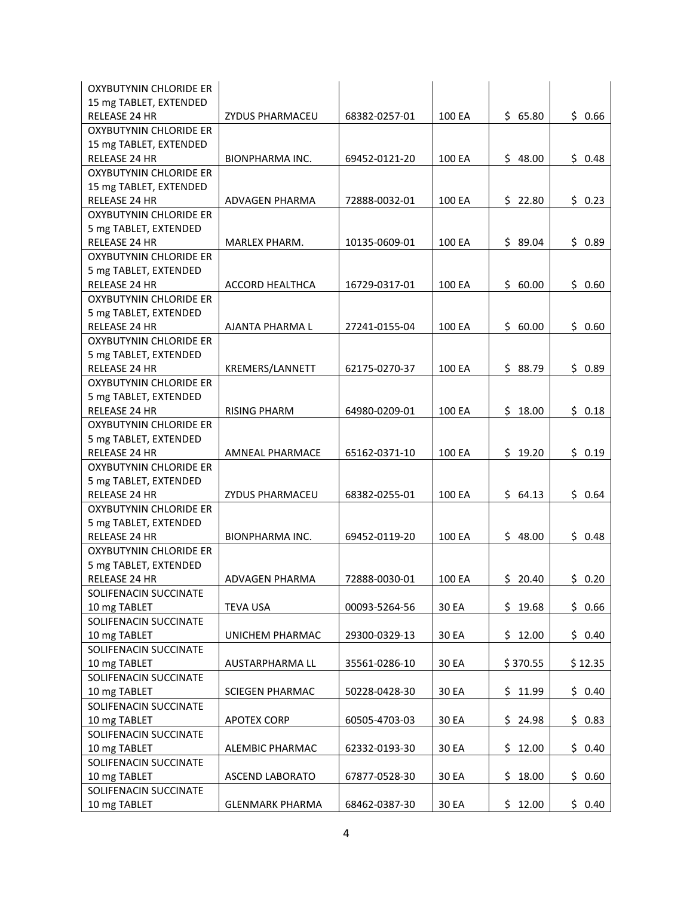| OXYBUTYNIN CHLORIDE ER        |                        |               |        |          |         |
|-------------------------------|------------------------|---------------|--------|----------|---------|
| 15 mg TABLET, EXTENDED        |                        |               |        |          |         |
| RELEASE 24 HR                 | <b>ZYDUS PHARMACEU</b> | 68382-0257-01 | 100 EA | \$65.80  | \$0.66  |
| <b>OXYBUTYNIN CHLORIDE ER</b> |                        |               |        |          |         |
| 15 mg TABLET, EXTENDED        |                        |               |        |          |         |
| RELEASE 24 HR                 | BIONPHARMA INC.        | 69452-0121-20 | 100 EA | \$48.00  | \$0.48  |
| <b>OXYBUTYNIN CHLORIDE ER</b> |                        |               |        |          |         |
| 15 mg TABLET, EXTENDED        |                        |               |        |          |         |
| <b>RELEASE 24 HR</b>          | ADVAGEN PHARMA         | 72888-0032-01 | 100 EA | \$22.80  | \$0.23  |
| <b>OXYBUTYNIN CHLORIDE ER</b> |                        |               |        |          |         |
| 5 mg TABLET, EXTENDED         |                        |               |        |          |         |
| RELEASE 24 HR                 | MARLEX PHARM.          | 10135-0609-01 | 100 EA | \$89.04  | \$0.89  |
| <b>OXYBUTYNIN CHLORIDE ER</b> |                        |               |        |          |         |
| 5 mg TABLET, EXTENDED         |                        |               |        |          |         |
| RELEASE 24 HR                 | ACCORD HEALTHCA        | 16729-0317-01 | 100 EA | \$60.00  | \$0.60  |
| OXYBUTYNIN CHLORIDE ER        |                        |               |        |          |         |
| 5 mg TABLET, EXTENDED         |                        |               |        |          |         |
| RELEASE 24 HR                 | AJANTA PHARMA L        | 27241-0155-04 | 100 EA | \$60.00  | \$0.60  |
| <b>OXYBUTYNIN CHLORIDE ER</b> |                        |               |        |          |         |
| 5 mg TABLET, EXTENDED         |                        |               |        |          |         |
| RELEASE 24 HR                 | KREMERS/LANNETT        | 62175-0270-37 | 100 EA | \$88.79  | \$0.89  |
| <b>OXYBUTYNIN CHLORIDE ER</b> |                        |               |        |          |         |
| 5 mg TABLET, EXTENDED         |                        |               |        |          |         |
| RELEASE 24 HR                 | <b>RISING PHARM</b>    | 64980-0209-01 | 100 EA | \$18.00  | \$0.18  |
| OXYBUTYNIN CHLORIDE ER        |                        |               |        |          |         |
| 5 mg TABLET, EXTENDED         |                        |               |        |          |         |
| RELEASE 24 HR                 | AMNEAL PHARMACE        | 65162-0371-10 | 100 EA | \$19.20  | \$0.19  |
| OXYBUTYNIN CHLORIDE ER        |                        |               |        |          |         |
| 5 mg TABLET, EXTENDED         |                        |               |        |          |         |
| RELEASE 24 HR                 | ZYDUS PHARMACEU        | 68382-0255-01 | 100 EA | \$64.13  | \$0.64  |
| OXYBUTYNIN CHLORIDE ER        |                        |               |        |          |         |
| 5 mg TABLET, EXTENDED         |                        |               |        |          |         |
| <b>RELEASE 24 HR</b>          | <b>BIONPHARMA INC.</b> | 69452-0119-20 | 100 EA | \$48.00  | \$0.48  |
| OXYBUTYNIN CHLORIDE ER        |                        |               |        |          |         |
| 5 mg TABLET, EXTENDED         |                        |               |        |          |         |
| RELEASE 24 HR                 | ADVAGEN PHARMA         | 72888-0030-01 | 100 EA | \$20.40  | \$0.20  |
| SOLIFENACIN SUCCINATE         |                        |               |        |          |         |
| 10 mg TABLET                  | <b>TEVA USA</b>        | 00093-5264-56 | 30 EA  | \$19.68  | \$0.66  |
| SOLIFENACIN SUCCINATE         |                        |               |        |          |         |
| 10 mg TABLET                  | UNICHEM PHARMAC        | 29300-0329-13 | 30 EA  | \$12.00  | \$0.40  |
| SOLIFENACIN SUCCINATE         |                        |               |        |          |         |
| 10 mg TABLET                  | AUSTARPHARMA LL        | 35561-0286-10 | 30 EA  | \$370.55 | \$12.35 |
| SOLIFENACIN SUCCINATE         |                        |               |        |          |         |
| 10 mg TABLET                  | <b>SCIEGEN PHARMAC</b> | 50228-0428-30 | 30 EA  | \$11.99  | \$0.40  |
| SOLIFENACIN SUCCINATE         |                        |               |        |          |         |
| 10 mg TABLET                  | <b>APOTEX CORP</b>     | 60505-4703-03 | 30 EA  | \$24.98  | \$0.83  |
| SOLIFENACIN SUCCINATE         |                        |               |        |          |         |
| 10 mg TABLET                  | ALEMBIC PHARMAC        | 62332-0193-30 | 30 EA  | \$12.00  | \$0.40  |
| SOLIFENACIN SUCCINATE         |                        |               |        |          |         |
| 10 mg TABLET                  | ASCEND LABORATO        | 67877-0528-30 | 30 EA  | \$18.00  | \$0.60  |
| SOLIFENACIN SUCCINATE         |                        |               |        |          |         |
| 10 mg TABLET                  | <b>GLENMARK PHARMA</b> | 68462-0387-30 | 30 EA  | \$12.00  | \$0.40  |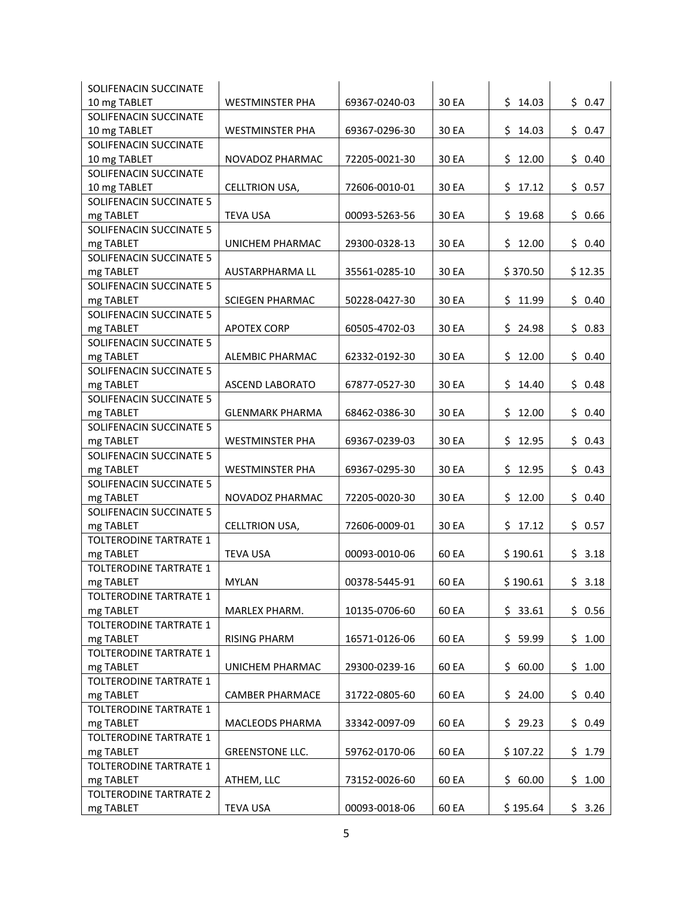| SOLIFENACIN SUCCINATE         |                        |               |       |          |         |
|-------------------------------|------------------------|---------------|-------|----------|---------|
| 10 mg TABLET                  | <b>WESTMINSTER PHA</b> | 69367-0240-03 | 30 EA | \$14.03  | \$0.47  |
| SOLIFENACIN SUCCINATE         |                        |               |       |          |         |
| 10 mg TABLET                  | <b>WESTMINSTER PHA</b> | 69367-0296-30 | 30 EA | \$14.03  | \$0.47  |
| SOLIFENACIN SUCCINATE         |                        |               |       |          |         |
| 10 mg TABLET                  | NOVADOZ PHARMAC        | 72205-0021-30 | 30 EA | \$12.00  | \$0.40  |
| SOLIFENACIN SUCCINATE         |                        |               |       |          |         |
| 10 mg TABLET                  | CELLTRION USA,         | 72606-0010-01 | 30 EA | \$17.12  | \$0.57  |
| SOLIFENACIN SUCCINATE 5       |                        |               |       |          |         |
| mg TABLET                     | <b>TEVA USA</b>        | 00093-5263-56 | 30 EA | \$19.68  | \$0.66  |
| SOLIFENACIN SUCCINATE 5       |                        |               |       |          |         |
| mg TABLET                     | UNICHEM PHARMAC        | 29300-0328-13 | 30 EA | \$12.00  | \$0.40  |
| SOLIFENACIN SUCCINATE 5       |                        |               |       |          |         |
| mg TABLET                     | AUSTARPHARMA LL        | 35561-0285-10 | 30 EA | \$370.50 | \$12.35 |
| SOLIFENACIN SUCCINATE 5       |                        |               |       |          |         |
| mg TABLET                     | <b>SCIEGEN PHARMAC</b> | 50228-0427-30 | 30 EA | \$11.99  | \$0.40  |
| SOLIFENACIN SUCCINATE 5       |                        |               |       |          |         |
| mg TABLET                     | <b>APOTEX CORP</b>     | 60505-4702-03 | 30 EA | \$24.98  | \$0.83  |
| SOLIFENACIN SUCCINATE 5       |                        |               |       |          |         |
| mg TABLET                     | ALEMBIC PHARMAC        | 62332-0192-30 | 30 EA | \$12.00  | \$0.40  |
| SOLIFENACIN SUCCINATE 5       |                        |               |       |          |         |
| mg TABLET                     | <b>ASCEND LABORATO</b> | 67877-0527-30 | 30 EA | \$14.40  | \$0.48  |
| SOLIFENACIN SUCCINATE 5       |                        |               |       |          |         |
| mg TABLET                     | <b>GLENMARK PHARMA</b> | 68462-0386-30 | 30 EA | \$12.00  | \$0.40  |
| SOLIFENACIN SUCCINATE 5       |                        |               |       |          |         |
| mg TABLET                     | <b>WESTMINSTER PHA</b> | 69367-0239-03 | 30 EA | \$12.95  | \$0.43  |
| SOLIFENACIN SUCCINATE 5       |                        |               |       |          |         |
| mg TABLET                     | <b>WESTMINSTER PHA</b> | 69367-0295-30 | 30 EA | \$12.95  | \$0.43  |
| SOLIFENACIN SUCCINATE 5       |                        |               |       |          |         |
| mg TABLET                     | NOVADOZ PHARMAC        | 72205-0020-30 | 30 EA | \$12.00  | \$0.40  |
| SOLIFENACIN SUCCINATE 5       |                        |               |       |          |         |
| mg TABLET                     | CELLTRION USA,         | 72606-0009-01 | 30 EA | \$17.12  | \$0.57  |
| TOLTERODINE TARTRATE 1        |                        |               |       |          |         |
| mg TABLET                     | <b>TEVA USA</b>        | 00093-0010-06 | 60 EA | \$190.61 | \$3.18  |
| TOLTERODINE TARTRATE 1        |                        |               |       |          |         |
| mg TABLET                     | <b>MYLAN</b>           | 00378-5445-91 | 60 EA | \$190.61 | \$3.18  |
| TOLTERODINE TARTRATE 1        |                        |               |       |          |         |
| mg TABLET                     | MARLEX PHARM.          | 10135-0706-60 | 60 EA | \$33.61  | \$0.56  |
| TOLTERODINE TARTRATE 1        |                        |               |       |          |         |
| mg TABLET                     | <b>RISING PHARM</b>    | 16571-0126-06 | 60 EA | \$59.99  | \$1.00  |
| TOLTERODINE TARTRATE 1        |                        |               |       |          |         |
| mg TABLET                     | UNICHEM PHARMAC        | 29300-0239-16 | 60 EA | \$60.00  | \$1.00  |
| <b>TOLTERODINE TARTRATE 1</b> |                        |               |       |          |         |
| mg TABLET                     | <b>CAMBER PHARMACE</b> | 31722-0805-60 | 60 EA | \$24.00  | \$0.40  |
| <b>TOLTERODINE TARTRATE 1</b> |                        |               |       |          |         |
| mg TABLET                     | MACLEODS PHARMA        | 33342-0097-09 | 60 EA | \$29.23  | \$0.49  |
| TOLTERODINE TARTRATE 1        |                        |               |       |          |         |
| mg TABLET                     | <b>GREENSTONE LLC.</b> | 59762-0170-06 | 60 EA | \$107.22 | \$1.79  |
| <b>TOLTERODINE TARTRATE 1</b> |                        |               |       |          |         |
| mg TABLET                     | ATHEM, LLC             | 73152-0026-60 | 60 EA | \$60.00  | \$1.00  |
| <b>TOLTERODINE TARTRATE 2</b> |                        |               |       |          |         |
| mg TABLET                     | <b>TEVA USA</b>        | 00093-0018-06 | 60 EA | \$195.64 | \$3.26  |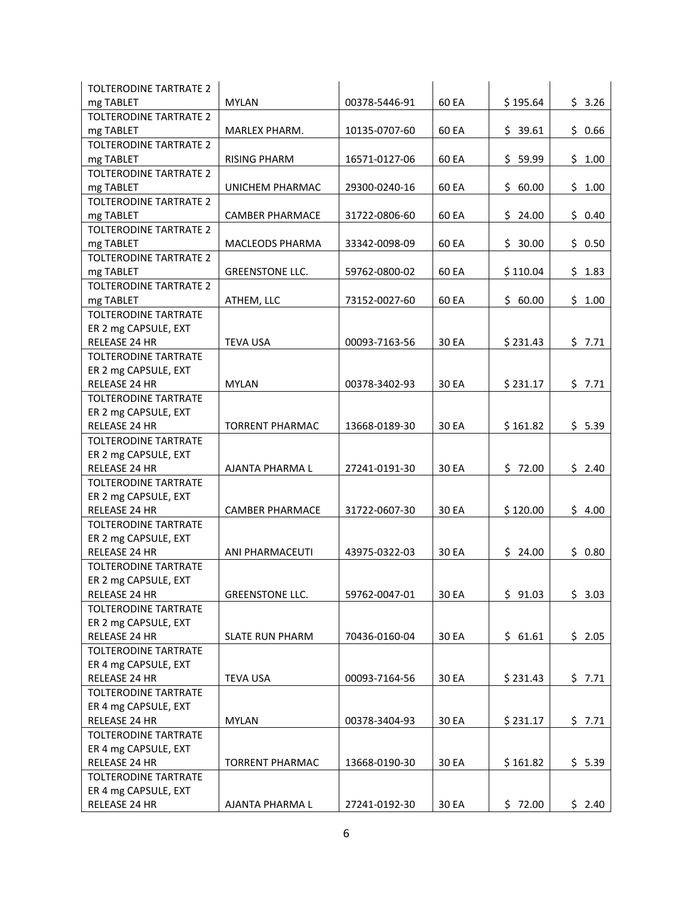| <b>TOLTERODINE TARTRATE 2</b> |                        |               |       |          |        |
|-------------------------------|------------------------|---------------|-------|----------|--------|
| mg TABLET                     | <b>MYLAN</b>           | 00378-5446-91 | 60 EA | \$195.64 | \$3.26 |
| <b>TOLTERODINE TARTRATE 2</b> |                        |               |       |          |        |
| mg TABLET                     | MARLEX PHARM.          | 10135-0707-60 | 60 EA | \$39.61  | \$0.66 |
| <b>TOLTERODINE TARTRATE 2</b> |                        |               |       |          |        |
| mg TABLET                     | <b>RISING PHARM</b>    | 16571-0127-06 | 60 EA | \$59.99  | \$1.00 |
| <b>TOLTERODINE TARTRATE 2</b> |                        |               |       |          |        |
| mg TABLET                     | UNICHEM PHARMAC        | 29300-0240-16 | 60 EA | \$60.00  | \$1.00 |
| <b>TOLTERODINE TARTRATE 2</b> |                        |               |       |          |        |
| mg TABLET                     | <b>CAMBER PHARMACE</b> | 31722-0806-60 | 60 EA | \$24.00  | \$0.40 |
| <b>TOLTERODINE TARTRATE 2</b> |                        |               |       |          |        |
| mg TABLET                     | <b>MACLEODS PHARMA</b> | 33342-0098-09 | 60 EA | \$30.00  | \$0.50 |
| <b>TOLTERODINE TARTRATE 2</b> |                        |               |       |          |        |
| mg TABLET                     | <b>GREENSTONE LLC.</b> | 59762-0800-02 | 60 EA | \$110.04 | \$1.83 |
| <b>TOLTERODINE TARTRATE 2</b> |                        |               |       |          |        |
| mg TABLET                     | ATHEM, LLC             | 73152-0027-60 | 60 EA | \$60.00  | \$1.00 |
| <b>TOLTERODINE TARTRATE</b>   |                        |               |       |          |        |
| ER 2 mg CAPSULE, EXT          |                        |               |       |          |        |
| RELEASE 24 HR                 | <b>TEVA USA</b>        | 00093-7163-56 | 30 EA | \$231.43 | \$7.71 |
| <b>TOLTERODINE TARTRATE</b>   |                        |               |       |          |        |
| ER 2 mg CAPSULE, EXT          |                        |               |       |          |        |
| RELEASE 24 HR                 | <b>MYLAN</b>           | 00378-3402-93 | 30 EA | \$231.17 | \$7.71 |
| <b>TOLTERODINE TARTRATE</b>   |                        |               |       |          |        |
| ER 2 mg CAPSULE, EXT          |                        |               |       |          |        |
| RELEASE 24 HR                 | <b>TORRENT PHARMAC</b> | 13668-0189-30 | 30 EA | \$161.82 | \$5.39 |
| TOLTERODINE TARTRATE          |                        |               |       |          |        |
| ER 2 mg CAPSULE, EXT          |                        |               |       |          |        |
| RELEASE 24 HR                 | AJANTA PHARMA L        | 27241-0191-30 | 30 EA | \$72.00  | \$2.40 |
| <b>TOLTERODINE TARTRATE</b>   |                        |               |       |          |        |
| ER 2 mg CAPSULE, EXT          |                        |               |       |          |        |
| <b>RELEASE 24 HR</b>          | <b>CAMBER PHARMACE</b> | 31722-0607-30 | 30 EA | \$120.00 | \$4.00 |
| <b>TOLTERODINE TARTRATE</b>   |                        |               |       |          |        |
| ER 2 mg CAPSULE, EXT          |                        |               |       |          |        |
| RELEASE 24 HR                 | <b>ANI PHARMACEUTI</b> | 43975-0322-03 | 30 EA | \$24.00  | \$0.80 |
| <b>TOLTERODINE TARTRATE</b>   |                        |               |       |          |        |
| ER 2 mg CAPSULE, EXT          |                        |               |       |          |        |
| RELEASE 24 HR                 | <b>GREENSTONE LLC.</b> | 59762-0047-01 | 30 EA | \$91.03  | \$3.03 |
| TOLTERODINE TARTRATE          |                        |               |       |          |        |
| ER 2 mg CAPSULE, EXT          |                        |               |       |          |        |
| RELEASE 24 HR                 | <b>SLATE RUN PHARM</b> | 70436-0160-04 | 30 EA | \$61.61  | \$2.05 |
| <b>TOLTERODINE TARTRATE</b>   |                        |               |       |          |        |
| ER 4 mg CAPSULE, EXT          |                        |               |       |          |        |
| RELEASE 24 HR                 | <b>TEVA USA</b>        | 00093-7164-56 | 30 EA | \$231.43 | \$7.71 |
| TOLTERODINE TARTRATE          |                        |               |       |          |        |
| ER 4 mg CAPSULE, EXT          |                        |               |       |          |        |
| RELEASE 24 HR                 | <b>MYLAN</b>           | 00378-3404-93 | 30 EA | \$231.17 | \$7.71 |
| TOLTERODINE TARTRATE          |                        |               |       |          |        |
| ER 4 mg CAPSULE, EXT          |                        |               |       |          |        |
| RELEASE 24 HR                 | <b>TORRENT PHARMAC</b> | 13668-0190-30 | 30 EA | \$161.82 | \$5.39 |
| TOLTERODINE TARTRATE          |                        |               |       |          |        |
| ER 4 mg CAPSULE, EXT          |                        |               |       |          |        |
| RELEASE 24 HR                 | AJANTA PHARMA L        | 27241-0192-30 | 30 EA | \$72.00  | \$2.40 |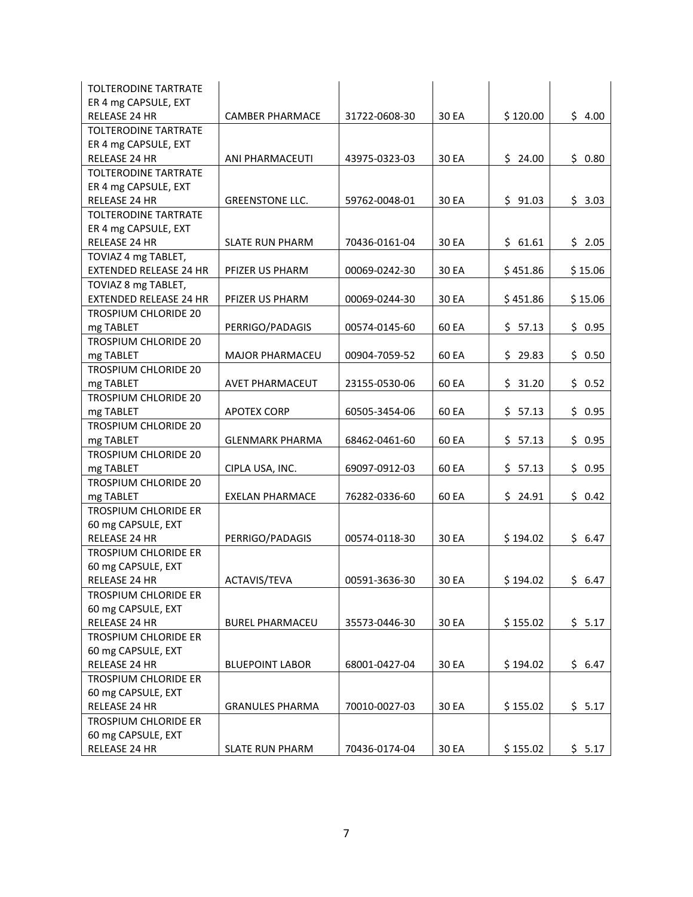| <b>TOLTERODINE TARTRATE</b>   |                        |               |       |          |         |
|-------------------------------|------------------------|---------------|-------|----------|---------|
| ER 4 mg CAPSULE, EXT          |                        |               |       |          |         |
| RELEASE 24 HR                 | <b>CAMBER PHARMACE</b> | 31722-0608-30 | 30 EA | \$120.00 | \$4.00  |
| <b>TOLTERODINE TARTRATE</b>   |                        |               |       |          |         |
| ER 4 mg CAPSULE, EXT          |                        |               |       |          |         |
| RELEASE 24 HR                 | ANI PHARMACEUTI        | 43975-0323-03 | 30 EA | \$24.00  | \$0.80  |
| <b>TOLTERODINE TARTRATE</b>   |                        |               |       |          |         |
| ER 4 mg CAPSULE, EXT          |                        |               |       |          |         |
| RELEASE 24 HR                 | <b>GREENSTONE LLC.</b> | 59762-0048-01 | 30 EA | \$91.03  | \$3.03  |
| TOLTERODINE TARTRATE          |                        |               |       |          |         |
| ER 4 mg CAPSULE, EXT          |                        |               |       |          |         |
| RELEASE 24 HR                 | <b>SLATE RUN PHARM</b> | 70436-0161-04 | 30 EA | \$61.61  | \$2.05  |
| TOVIAZ 4 mg TABLET,           |                        |               |       |          |         |
| <b>EXTENDED RELEASE 24 HR</b> | PFIZER US PHARM        | 00069-0242-30 | 30 EA | \$451.86 | \$15.06 |
| TOVIAZ 8 mg TABLET,           |                        |               |       |          |         |
| <b>EXTENDED RELEASE 24 HR</b> | PFIZER US PHARM        | 00069-0244-30 | 30 EA | \$451.86 | \$15.06 |
| <b>TROSPIUM CHLORIDE 20</b>   |                        |               |       |          |         |
| mg TABLET                     | PERRIGO/PADAGIS        | 00574-0145-60 | 60 EA | \$57.13  | \$0.95  |
| <b>TROSPIUM CHLORIDE 20</b>   |                        |               |       |          |         |
| mg TABLET                     | <b>MAJOR PHARMACEU</b> | 00904-7059-52 | 60 EA | \$29.83  | \$0.50  |
| TROSPIUM CHLORIDE 20          |                        |               |       |          |         |
| mg TABLET                     | AVET PHARMACEUT        | 23155-0530-06 | 60 EA | \$31.20  | \$0.52  |
| <b>TROSPIUM CHLORIDE 20</b>   |                        |               |       |          |         |
| mg TABLET                     | <b>APOTEX CORP</b>     | 60505-3454-06 | 60 EA | \$57.13  | \$0.95  |
| <b>TROSPIUM CHLORIDE 20</b>   |                        |               |       |          |         |
| mg TABLET                     | <b>GLENMARK PHARMA</b> | 68462-0461-60 | 60 EA | \$57.13  | \$0.95  |
| TROSPIUM CHLORIDE 20          |                        |               |       |          |         |
| mg TABLET                     | CIPLA USA, INC.        | 69097-0912-03 | 60 EA | \$57.13  | \$0.95  |
| TROSPIUM CHLORIDE 20          |                        |               |       |          |         |
| mg TABLET                     | <b>EXELAN PHARMACE</b> | 76282-0336-60 | 60 EA | \$24.91  | \$0.42  |
| <b>TROSPIUM CHLORIDE ER</b>   |                        |               |       |          |         |
| 60 mg CAPSULE, EXT            |                        |               |       |          |         |
| RELEASE 24 HR                 | PERRIGO/PADAGIS        | 00574-0118-30 | 30 EA | \$194.02 | \$6.47  |
| <b>TROSPIUM CHLORIDE ER</b>   |                        |               |       |          |         |
| 60 mg CAPSULE, EXT            |                        |               |       |          |         |
| <b>RELEASE 24 HR</b>          | ACTAVIS/TEVA           | 00591-3636-30 | 30 EA | \$194.02 | \$6.47  |
| <b>TROSPIUM CHLORIDE ER</b>   |                        |               |       |          |         |
| 60 mg CAPSULE, EXT            |                        |               |       |          |         |
| RELEASE 24 HR                 | <b>BUREL PHARMACEU</b> | 35573-0446-30 | 30 EA | \$155.02 | \$5.17  |
| <b>TROSPIUM CHLORIDE ER</b>   |                        |               |       |          |         |
| 60 mg CAPSULE, EXT            |                        |               |       |          |         |
| RELEASE 24 HR                 | <b>BLUEPOINT LABOR</b> | 68001-0427-04 | 30 EA | \$194.02 | \$6.47  |
| <b>TROSPIUM CHLORIDE ER</b>   |                        |               |       |          |         |
| 60 mg CAPSULE, EXT            |                        |               |       |          |         |
| RELEASE 24 HR                 | <b>GRANULES PHARMA</b> | 70010-0027-03 | 30 EA | \$155.02 | \$5.17  |
| <b>TROSPIUM CHLORIDE ER</b>   |                        |               |       |          |         |
| 60 mg CAPSULE, EXT            |                        |               |       |          |         |
| RELEASE 24 HR                 | <b>SLATE RUN PHARM</b> | 70436-0174-04 | 30 EA | \$155.02 | \$5.17  |